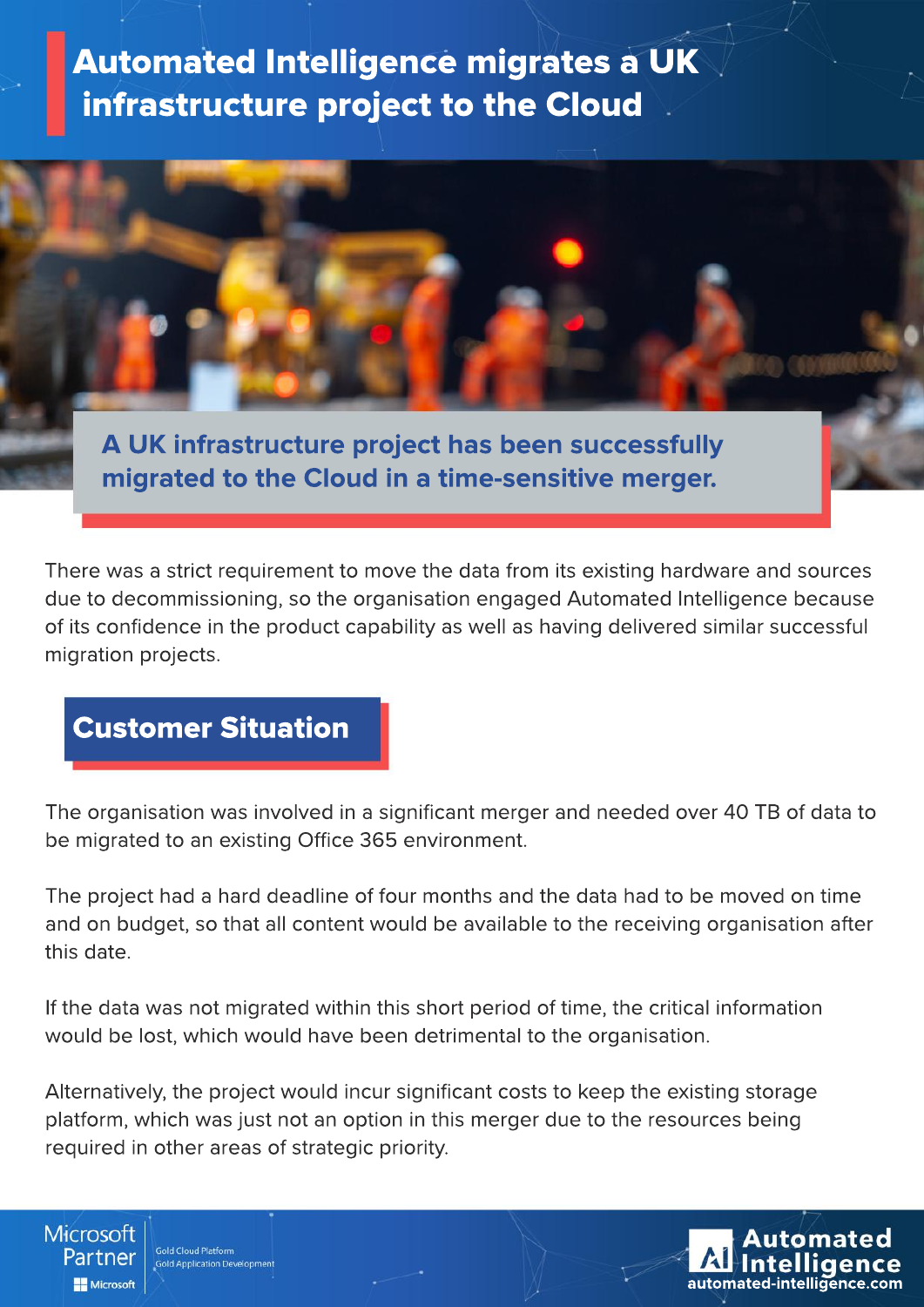## **Automated Intelligence migrates a UK** infrastructure project to the Cloud

**A UK infrastructure project has been successfully** 

**migrated to the Cloud in a time-sensitive merger.** 

There was a strict requirement to move the data from its existing hardware and sources due to decommissioning, so the organisation engaged Automated Intelligence because of its confidence in the product capability as well as having delivered similar successful migration projects.

## **Customer Situation**

The organisation was involved in a significant merger and needed over 40 TB of data to be migrated to an existing Office 365 environment.

The project had a hard deadline of four months and the data had to be moved on time and on budget, so that all content would be available to the receiving organisation after this date.

If the data was not migrated within this short period of time, the critical information would be lost, which would have been detrimental to the organisation.

Alternatively, the project would incur significant costs to keep the existing storage platform, which was just not an option in this merger due to the resources being required in other areas of strategic priority.

Microsoft **Gold Cloud Platform** Partner **Gold Application Developmer** Microsoft